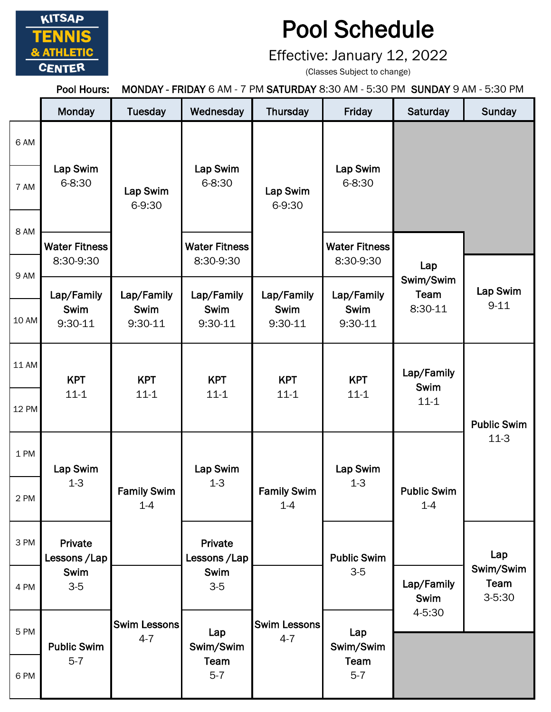

## Pool Schedule

Effective: January 12, 2022

(Classes Subject to change)

Pool Hours: MONDAY - FRIDAY 6 AM - 7 PM SATURDAY 8:30 AM - 5:30 PM SUNDAY 9 AM - 5:30 PM

|              | Monday                                                           | <b>Tuesday</b>                | Wednesday                         | Thursday                        | Friday                            | Saturday                       | <b>Sunday</b>                   |
|--------------|------------------------------------------------------------------|-------------------------------|-----------------------------------|---------------------------------|-----------------------------------|--------------------------------|---------------------------------|
| 6 AM         |                                                                  |                               |                                   |                                 |                                   |                                |                                 |
| 7 AM         | Lap Swim<br>$6 - 8:30$                                           | Lap Swim<br>6-9:30            | Lap Swim<br>$6 - 8:30$            | Lap Swim<br>6-9:30              | Lap Swim<br>6-8:30                |                                |                                 |
| 8 AM         | <b>Water Fitness</b>                                             |                               | <b>Water Fitness</b>              |                                 | <b>Water Fitness</b>              |                                |                                 |
| 9 AM         | 8:30-9:30                                                        |                               | 8:30-9:30                         |                                 | 8:30-9:30                         | Lap<br>Swim/Swim               |                                 |
| 10 AM        | Lap/Family<br>Swim<br>9:30-11                                    | Lap/Family<br>Swim<br>9:30-11 | Lap/Family<br>Swim<br>$9:30-11$   | Lap/Family<br>Swim<br>$9:30-11$ | Lap/Family<br>Swim<br>9:30-11     | Team<br>8:30-11                | Lap Swim<br>$9 - 11$            |
|              |                                                                  |                               |                                   |                                 |                                   |                                |                                 |
| 11 AM        | <b>KPT</b><br>$11 - 1$                                           | <b>KPT</b><br>$11 - 1$        | <b>KPT</b><br>$11 - 1$            | <b>KPT</b><br>$11 - 1$          | <b>KPT</b><br>$11 - 1$            | Lap/Family<br>Swim<br>$11 - 1$ | <b>Public Swim</b><br>$11-3$    |
| <b>12 PM</b> |                                                                  |                               |                                   |                                 |                                   |                                |                                 |
| 1 PM         | Lap Swim<br>$1 - 3$<br>Private<br>Lessons / Lap<br>Swim<br>$3-5$ | <b>Family Swim</b><br>$1-4$   | Lap Swim<br>$1 - 3$               | <b>Family Swim</b><br>$1-4$     | Lap Swim<br>$1 - 3$               | <b>Public Swim</b><br>$1-4$    |                                 |
| 2 PM         |                                                                  |                               |                                   |                                 |                                   |                                |                                 |
| 3 PM         |                                                                  |                               | Private<br>Lessons / Lap          |                                 | <b>Public Swim</b><br>$3-5$       |                                | Lap                             |
| 4 PM         |                                                                  | Swim Lessons<br>$4 - 7$       | Swim<br>$3-5$                     | Swim Lessons<br>$4 - 7$         |                                   | Lap/Family<br>Swim             | Swim/Swim<br>Team<br>$3 - 5:30$ |
| 5 PM         | <b>Public Swim</b><br>$5 - 7$                                    |                               | Lap<br>Swim/Swim<br>Team<br>$5-7$ |                                 | Lap<br>Swim/Swim<br>Team<br>$5-7$ | 4-5:30                         |                                 |
| 6 PM         |                                                                  |                               |                                   |                                 |                                   |                                |                                 |